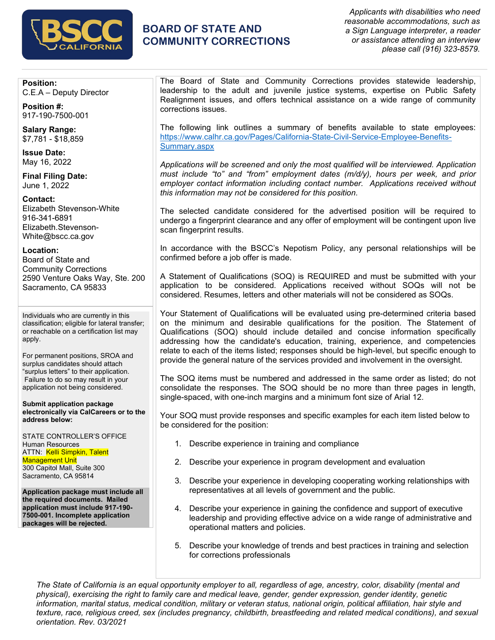

# **BOARD OF STATE AND COMMUNITY CORRECTIONS**

*Applicants with disabilities who need reasonable accommodations, such as a Sign Language interpreter, a reader or assistance attending an interview please call (916) 323-8579.*

**Position:** C.E.A – Deputy Director

**Position #:** 917-190-7500-001

**Salary Range:** \$7,781 - \$18,859

**Issue Date:** May 16, 2022

**Final Filing Date:** June 1, 2022

**Contact:** Elizabeth Stevenson-White 916-341-6891 Elizabeth.Stevenson-White@bscc.ca.gov

**Location:** Board of State and Community Corrections 2590 Venture Oaks Way, Ste. 200

Sacramento, CA 95833

Individuals who are currently in this classification; eligible for lateral transfer; or reachable on a certification list may apply.

For permanent positions, SROA and surplus candidates should attach "surplus letters" to their application. Failure to do so may result in your application not being considered.

**Submit application package electronically via CalCareers or to the address below:**

STATE CONTROLLER'S OFFICE Human Resources ATTN: Kelli Simpkin, Talent Management Unit 300 Capitol Mall, Suite 300 Sacramento, CA 95814

**Application package must include all the required documents. Mailed application must include 917-190- 7500-001. Incomplete application packages will be rejected.**

The Board of State and Community Corrections provides statewide leadership, leadership to the adult and juvenile justice systems, expertise on Public Safety Realignment issues, and offers technical assistance on a wide range of community corrections issues.

The following link outlines a summary of benefits available to state employees: [https://www.calhr.ca.gov/Pages/California-State-Civil-Service-Employee-Benefits-](https://www.calhr.ca.gov/Pages/California-State-Civil-Service-Employee-Benefits-Summary.aspx)[Summary.aspx](https://www.calhr.ca.gov/Pages/California-State-Civil-Service-Employee-Benefits-Summary.aspx)

*Applications will be screened and only the most qualified will be interviewed. Application must include "to" and "from" employment dates (m/d/y), hours per week, and prior employer contact information including contact number. Applications received without this information may not be considered for this position.*

The selected candidate considered for the advertised position will be required to undergo a fingerprint clearance and any offer of employment will be contingent upon live scan fingerprint results.

In accordance with the BSCC's Nepotism Policy, any personal relationships will be confirmed before a job offer is made.

A Statement of Qualifications (SOQ) is REQUIRED and must be submitted with your application to be considered. Applications received without SOQs will not be considered. Resumes, letters and other materials will not be considered as SOQs.

Your Statement of Qualifications will be evaluated using pre-determined criteria based on the minimum and desirable qualifications for the position. The Statement of Qualifications (SOQ) should include detailed and concise information specifically addressing how the candidate's education, training, experience, and competencies relate to each of the items listed; responses should be high-level, but specific enough to provide the general nature of the services provided and involvement in the oversight.

The SOQ items must be numbered and addressed in the same order as listed; do not consolidate the responses. The SOQ should be no more than three pages in length, single-spaced, with one-inch margins and a minimum font size of Arial 12.

Your SOQ must provide responses and specific examples for each item listed below to be considered for the position:

- 1. Describe experience in training and compliance
- 2. Describe your experience in program development and evaluation
- 3. Describe your experience in developing cooperating working relationships with representatives at all levels of government and the public.
- 4. Describe your experience in gaining the confidence and support of executive leadership and providing effective advice on a wide range of administrative and operational matters and policies.
- 5. Describe your knowledge of trends and best practices in training and selection for corrections professionals

*The State of California is an equal opportunity employer to all, regardless of age, ancestry, color, disability (mental and physical), exercising the right to family care and medical leave, gender, gender expression, gender identity, genetic information, marital status, medical condition, military or veteran status, national origin, political affiliation, hair style and texture, race, religious creed, sex (includes pregnancy, childbirth, breastfeeding and related medical conditions), and sexual orientation. Rev. 03/2021*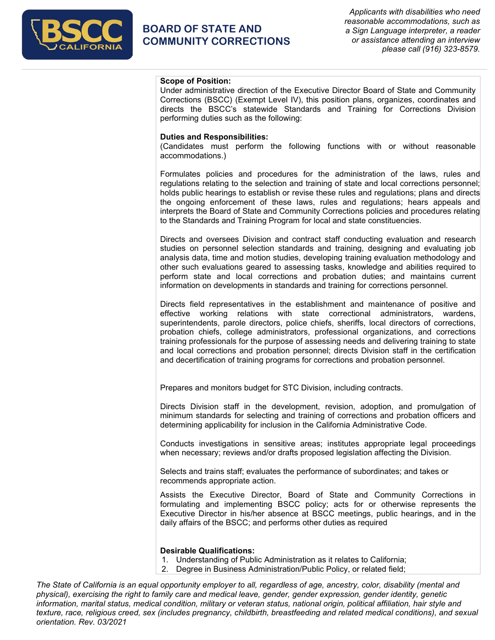

# **BOARD OF STATE AND COMMUNITY CORRECTIONS**

*Applicants with disabilities who need reasonable accommodations, such as a Sign Language interpreter, a reader or assistance attending an interview please call (916) 323-8579.*

### **Scope of Position:**

Under administrative direction of the Executive Director Board of State and Community Corrections (BSCC) (Exempt Level IV), this position plans, organizes, coordinates and directs the BSCC's statewide Standards and Training for Corrections Division performing duties such as the following:

#### **Duties and Responsibilities:**

(Candidates must perform the following functions with or without reasonable accommodations.)

Formulates policies and procedures for the administration of the laws, rules and regulations relating to the selection and training of state and local corrections personnel; holds public hearings to establish or revise these rules and regulations; plans and directs the ongoing enforcement of these laws, rules and regulations; hears appeals and interprets the Board of State and Community Corrections policies and procedures relating to the Standards and Training Program for local and state constituencies.

Directs and oversees Division and contract staff conducting evaluation and research studies on personnel selection standards and training, designing and evaluating job analysis data, time and motion studies, developing training evaluation methodology and other such evaluations geared to assessing tasks, knowledge and abilities required to perform state and local corrections and probation duties; and maintains current information on developments in standards and training for corrections personnel.

Directs field representatives in the establishment and maintenance of positive and effective working relations with state correctional administrators, wardens, superintendents, parole directors, police chiefs, sheriffs, local directors of corrections, probation chiefs, college administrators, professional organizations, and corrections training professionals for the purpose of assessing needs and delivering training to state and local corrections and probation personnel; directs Division staff in the certification and decertification of training programs for corrections and probation personnel.

Prepares and monitors budget for STC Division, including contracts.

Directs Division staff in the development, revision, adoption, and promulgation of minimum standards for selecting and training of corrections and probation officers and determining applicability for inclusion in the California Administrative Code.

Conducts investigations in sensitive areas; institutes appropriate legal proceedings when necessary; reviews and/or drafts proposed legislation affecting the Division.

Selects and trains staff; evaluates the performance of subordinates; and takes or recommends appropriate action.

Assists the Executive Director, Board of State and Community Corrections in formulating and implementing BSCC policy; acts for or otherwise represents the Executive Director in his/her absence at BSCC meetings, public hearings, and in the daily affairs of the BSCC; and performs other duties as required

### **Desirable Qualifications:**

- 1. Understanding of Public Administration as it relates to California;
- 2. Degree in Business Administration/Public Policy, or related field;

*The State of California is an equal opportunity employer to all, regardless of age, ancestry, color, disability (mental and physical), exercising the right to family care and medical leave, gender, gender expression, gender identity, genetic information, marital status, medical condition, military or veteran status, national origin, political affiliation, hair style and texture, race, religious creed, sex (includes pregnancy, childbirth, breastfeeding and related medical conditions), and sexual orientation. Rev. 03/2021*